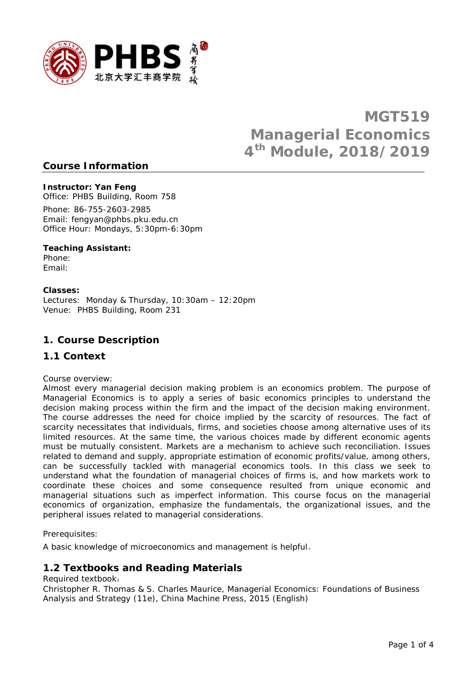

# **MGT519 Managerial Economics 4th Module, 2018/2019**

### **Course Information**

### *Instructor: Yan Feng*

Office: PHBS Building, Room 758

Phone: 86-755-2603-2985 Email: fengyan@phbs.pku.edu.cn Office Hour: Mondays, 5:30pm-6:30pm

### *Teaching Assistant:*

Phone: Email:

### *Classes:*

Lectures: Monday & Thursday, 10:30am – 12:20pm Venue: PHBS Building, Room 231

### **1. Course Description**

### *1.1 Context*

Course overview:

Almost every managerial decision making problem is an economics problem. The purpose of Managerial Economics is to apply a series of basic economics principles to understand the decision making process within the firm and the impact of the decision making environment. The course addresses the need for choice implied by the scarcity of resources. The fact of scarcity necessitates that individuals, firms, and societies choose among alternative uses of its limited resources. At the same time, the various choices made by different economic agents must be mutually consistent. Markets are a mechanism to achieve such reconciliation. Issues related to demand and supply, appropriate estimation of economic profits/value, among others, can be successfully tackled with managerial economics tools. In this class we seek to understand what the foundation of managerial choices of firms is, and how markets work to coordinate these choices and some consequence resulted from unique economic and managerial situations such as imperfect information. This course focus on the managerial economics of organization, emphasize the fundamentals, the organizational issues, and the peripheral issues related to managerial considerations.

Prerequisites:

A basic knowledge of microeconomics and management is helpful。

# *1.2 Textbooks and Reading Materials*

Required textbook:

Christopher R. Thomas & S. Charles Maurice, Managerial Economics: Foundations of Business Analysis and Strategy (11e), China Machine Press, 2015 (English)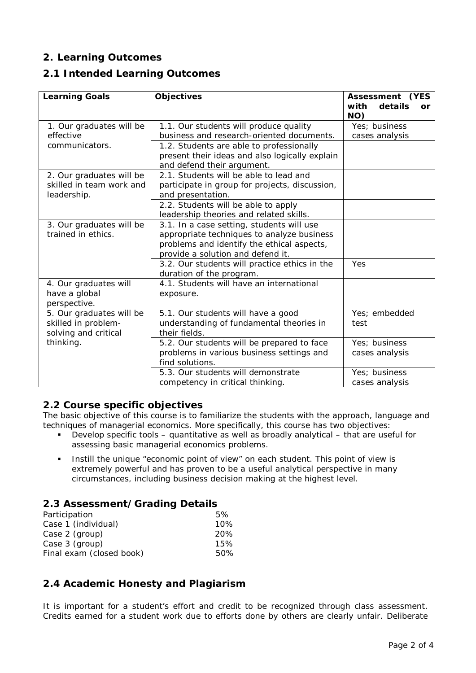# **2. Learning Outcomes**

# *2.1 Intended Learning Outcomes*

| <b>Learning Goals</b>                                                   | <b>Objectives</b>                                                                                                                                                                                                     | <b>Assessment (YES</b><br>with<br>details<br>or.<br>NO) |
|-------------------------------------------------------------------------|-----------------------------------------------------------------------------------------------------------------------------------------------------------------------------------------------------------------------|---------------------------------------------------------|
| 1. Our graduates will be<br>effective                                   | 1.1. Our students will produce quality<br>business and research-oriented documents.                                                                                                                                   | Yes; business<br>cases analysis                         |
| communicators.                                                          | 1.2. Students are able to professionally<br>present their ideas and also logically explain<br>and defend their argument.                                                                                              |                                                         |
| 2. Our graduates will be<br>skilled in team work and<br>leadership.     | 2.1. Students will be able to lead and<br>participate in group for projects, discussion,<br>and presentation.<br>2.2. Students will be able to apply                                                                  |                                                         |
| 3. Our graduates will be<br>trained in ethics.                          | leadership theories and related skills.<br>3.1. In a case setting, students will use<br>appropriate techniques to analyze business<br>problems and identify the ethical aspects,<br>provide a solution and defend it. |                                                         |
|                                                                         | 3.2. Our students will practice ethics in the<br>duration of the program.                                                                                                                                             | Yes                                                     |
| 4. Our graduates will<br>have a global<br>perspective.                  | 4.1. Students will have an international<br>exposure.                                                                                                                                                                 |                                                         |
| 5. Our graduates will be<br>skilled in problem-<br>solving and critical | 5.1. Our students will have a good<br>understanding of fundamental theories in<br>their fields.                                                                                                                       | Yes; embedded<br>test                                   |
| thinking.                                                               | 5.2. Our students will be prepared to face<br>problems in various business settings and<br>find solutions.                                                                                                            | Yes; business<br>cases analysis                         |
|                                                                         | 5.3. Our students will demonstrate<br>competency in critical thinking.                                                                                                                                                | Yes; business<br>cases analysis                         |

### *2.2 Course specific objectives*

The basic objective of this course is to familiarize the students with the approach, language and techniques of managerial economics. More specifically, this course has two objectives:

- Develop specific tools quantitative as well as broadly analytical that are useful for assessing basic managerial economics problems.
- Instill the unique "economic point of view" on each student. This point of view is extremely powerful and has proven to be a useful analytical perspective in many circumstances, including business decision making at the highest level.

### *2.3 Assessment/Grading Details*

| Participation            |     |  |
|--------------------------|-----|--|
| Case 1 (individual)      | 10% |  |
| Case 2 (group)           | 20% |  |
| Case 3 (group)           | 15% |  |
| Final exam (closed book) |     |  |

# *2.4 Academic Honesty and Plagiarism*

It is important for a student's effort and credit to be recognized through class assessment. Credits earned for a student work due to efforts done by others are clearly unfair. Deliberate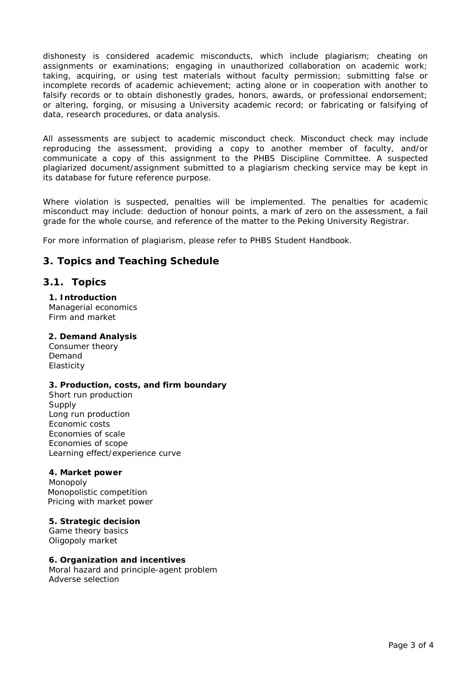dishonesty is considered academic misconducts, which include plagiarism; cheating on assignments or examinations; engaging in unauthorized collaboration on academic work; taking, acquiring, or using test materials without faculty permission; submitting false or incomplete records of academic achievement; acting alone or in cooperation with another to falsify records or to obtain dishonestly grades, honors, awards, or professional endorsement; or altering, forging, or misusing a University academic record; or fabricating or falsifying of data, research procedures, or data analysis.

All assessments are subject to academic misconduct check. Misconduct check may include reproducing the assessment, providing a copy to another member of faculty, and/or communicate a copy of this assignment to the PHBS Discipline Committee. A suspected plagiarized document/assignment submitted to a plagiarism checking service may be kept in its database for future reference purpose.

Where violation is suspected, penalties will be implemented. The penalties for academic misconduct may include: deduction of honour points, a mark of zero on the assessment, a fail grade for the whole course, and reference of the matter to the Peking University Registrar.

For more information of plagiarism, please refer to *PHBS Student Handbook*.

# **3. Topics and Teaching Schedule**

### **3.1. Topics**

**1. Introduction** Managerial economics Firm and market

#### **2. Demand Analysis**

Consumer theory Demand **Elasticity** 

#### **3. Production, costs, and firm boundary**

Short run production Supply Long run production Economic costs Economies of scale Economies of scope Learning effect/experience curve

#### **4. Market power**

Monopoly Monopolistic competition Pricing with market power

#### **5. Strategic decision**

Game theory basics Oligopoly market

#### **6. Organization and incentives**

Moral hazard and principle-agent problem Adverse selection